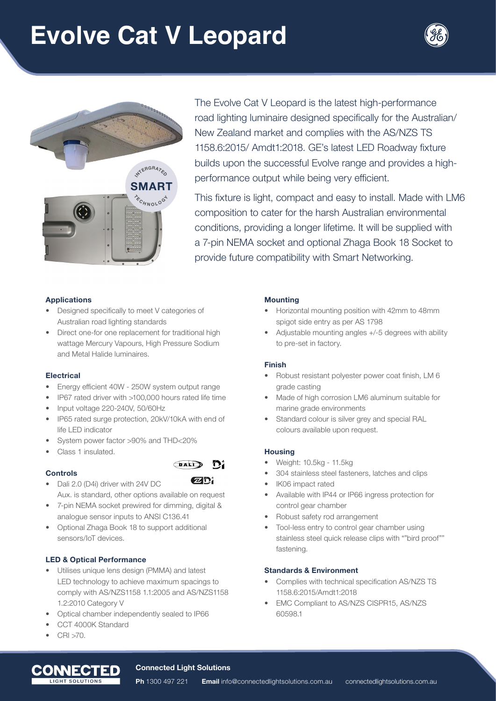## **Evolve Cat V Leopard**





The Evolve Cat V Leopard is the latest high-performance road lighting luminaire designed specifically for the Australian/ New Zealand market and complies with the AS/NZS TS 1158.6:2015/ Amdt1:2018. GE's latest LED Roadway fixture builds upon the successful Evolve range and provides a highperformance output while being very efficient.

This fixture is light, compact and easy to install. Made with LM6 composition to cater for the harsh Australian environmental conditions, providing a longer lifetime. It will be supplied with a 7-pin NEMA socket and optional Zhaga Book 18 Socket to provide future compatibility with Smart Networking.

## **Applications**

- Designed specifically to meet V categories of Australian road lighting standards
- Direct one-for one replacement for traditional high wattage Mercury Vapours, High Pressure Sodium and Metal Halide luminaires.

## **Electrical**

- Energy efficient 40W 250W system output range
- IP67 rated driver with >100,000 hours rated life time
- Input voltage 220-240V, 50/60Hz
- IP65 rated surge protection, 20kV/10kA with end of life LED indicator
- System power factor >90% and THD<20%
- Class 1 insulated.

#### **Controls**



**DALI** 

 $\mathbf{O}_4^4$ 

- Dali 2.0 (D4i) driver with 24V DC Aux. is standard, other options available on request
- 7-pin NEMA socket prewired for dimming, digital & analogue sensor inputs to ANSI C136.41
- Optional Zhaga Book 18 to support additional sensors/IoT devices.

## **LED & Optical Performance**

- Utilises unique lens design (PMMA) and latest LED technology to achieve maximum spacings to comply with AS/NZS1158 1.1:2005 and AS/NZS1158 1.2:2010 Category V
- Optical chamber independently sealed to IP66
- CCT 4000K Standard
- CRI >70.



#### **Mounting**

- Horizontal mounting position with 42mm to 48mm spigot side entry as per AS 1798
- Adjustable mounting angles +/-5 degrees with ability to pre-set in factory.

#### **Finish**

- Robust resistant polyester power coat finish, LM 6 grade casting
- Made of high corrosion LM6 aluminum suitable for marine grade environments
- Standard colour is silver grey and special RAL colours available upon request.

#### **Housing**

- Weight: 10.5kg 11.5kg
- 304 stainless steel fasteners, latches and clips
- IK06 impact rated
- Available with IP44 or IP66 ingress protection for control gear chamber
- Robust safety rod arrangement
- Tool-less entry to control gear chamber using stainless steel quick release clips with ""bird proof"" fastening.

#### **Standards & Environment**

- Complies with technical specification AS/NZS TS 1158.6:2015/Amdt1:2018
- EMC Compliant to AS/NZS CISPR15, AS/NZS 60598.1

#### **Connected Light Solutions**